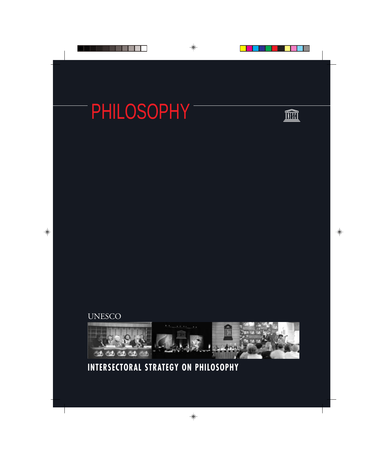# PHILOSOPHY<sup>-</sup>





## **INTERSECTORAL STRATEGY ON PHILOSOPHY**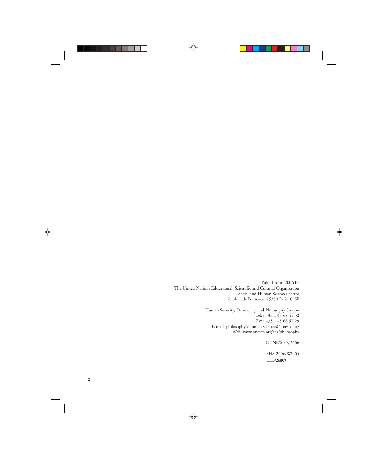Published in 2006 by The United Nations Educational, Scientific and Cultural Organization Social and Human Sciences Sector 7, place de Fontenoy, 75350 Paris 07 SP

> Human Security, Democracy and Philosophy Section Tel. : +33 1 45 68 45 52 Fax : +33 1 45 68 57 29 E-mail: philosophy&human[-sciences@unesco.org](mailto:sciences@unesco.org) Web: [www.unesco.org/shs/philosophy](http://www.unesco.org/shs/philosophy)

> > ©UNESCO, 2006

SHS-2006/WS/04 CLD/26809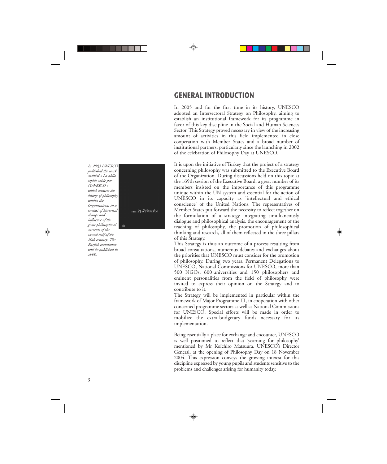*In 2003 UNESCO published the work entitled « La philosophie saisie par l'UNESCO » which retraces the history of philosophy within the Organization, in a context of historical change and influence of the great philosophical currents of the second half of the 20th century. The English translation will be published in 2006.*

俪

La Philosophie

## **GENERAL INTRODUCTION**

In 2005 and for the first time in its history, UNESCO adopted an Intersectoral Strategy on Philosophy, aiming to establish an institutional framework for its programme in favor of this key discipline in the Social and Human Sciences Sector. This Strategy proved necessary in view of the increasing amount of activities in this field implemented in close cooperation with Member States and a broad number of institutional partners, particularly since the launching in 2002 of the celebration of Philosophy Day at UNESCO.

It is upon the initiative of Turkey that the project of a strategy concerning philosophy was submitted to the Executive Board of the Organization. During discussions held on this topic at the 169th session of the Executive Board, a great number of its members insisted on the importance of this programme unique within the UN system and essential for the action of UNESCO in its capacity as 'intellectual and ethical conscience' of the United Nations. The representatives of Member States put forward the necessity to reflect together on the formulation of a strategy integrating simultaneously dialogue and philosophical analysis, the encouragement of the teaching of philosophy, the promotion of philosophical thinking and research, all of them reflected in the three pillars of this Strategy.

This Strategy is thus an outcome of a process resulting from broad consultations, numerous debates and exchanges about the priorities that UNESCO must consider for the promotion of philosophy. During two years, Permanent Delegations to UNESCO, National Commissions for UNESCO, more than 500 NGOs, 600 universities and 150 philosophers and eminent personalities from the field of philosophy were invited to express their opinion on the Strategy and to contribute to it.

The Strategy will be implemented in particular within the framework of Major Programme III, in cooperation with other concerned programme sectors as well as National Commissions for UNESCO. Special efforts will be made in order to mobilize the extra-budgetary funds necessary for its implementation.

Being essentially a place for exchange and encounter, UNESCO is well positioned to reflect that 'yearning for philosophy' mentioned by Mr Koïchiro Matsuura, UNESCO's Director General, at the opening of Philosophy Day on 18 November 2004. This expression conveys the growing interest for this discipline expressed by young pupils and students sensitive to the problems and challenges arising for humanity today.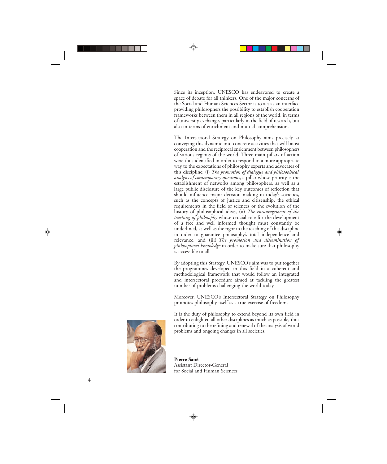Since its inception, UNESCO has endeavored to create a space of debate for all thinkers. One of the major concerns of the Social and Human Sciences Sector is to act as an interface providing philosophers the possibility to establish cooperation frameworks between them in all regions of the world, in terms of university exchanges particularly in the field of research, but also in terms of enrichment and mutual comprehension.

The Intersectoral Strategy on Philosophy aims precisely at conveying this dynamic into concrete activities that will boost cooperation and the reciprocal enrichment between philosophers of various regions of the world. Three main pillars of action were thus identified in order to respond in a more appropriate way to the expectations of philosophy experts and advocates of this discipline: (i) *The promotion of dialogue and philosophical analysis of contemporary questions*, a pillar whose priority is the establishment of networks among philosophers, as well as a large public disclosure of the key outcomes of reflection that should influence major decision making in today's societies, such as the concepts of justice and citizenship, the ethical requirements in the field of sciences or the evolution of the history of philosophical ideas, (ii) *The encouragement of the teaching of philosophy* whose crucial role for the development of a free and well informed thought must constantly be underlined, as well as the rigor in the teaching of this discipline in order to guarantee philosophy's total independence and relevance, and (iii) *The promotion and dissemination of philosophical knowledge* in order to make sure that philosophy is accessible to all.

By adopting this Strategy, UNESCO's aim was to put together the programmes developed in this field in a coherent and methodological framework that would follow an integrated and intersectoral procedure aimed at tackling the greatest number of problems challenging the world today.

Moreover, UNESCO's Intersectoral Strategy on Philosophy promotes philosophy itself as a true exercise of freedom.

It is the duty of philosophy to extend beyond its own field in order to enlighten all other disciplines as much as possible, thus contributing to the refining and renewal of the analysis of world problems and ongoing changes in all societies.



**Pierre Sané** Assistant Director-General for Social and Human Sciences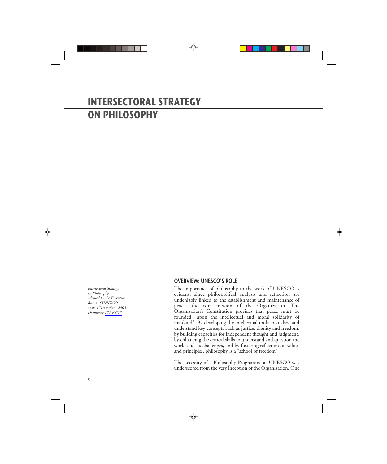# **INTERSECTORAL STRATEGY ON PHILOSOPHY**

*Intersectoral Strategy on Philosophy adopted by the Executive Board of UNESCO at its 171st session (2005). Document 171 EX/12*

### OVERVIEW: UNESCO'S ROLE

The importance of philosophy to the work of UNESCO is evident, since philosophical analysis and reflection are undeniably linked to the establishment and maintenance of peace, the core mission of the Organization. The Organization's Constitution provides that peace must be founded "upon the intellectual and moral solidarity of mankind". By developing the intellectual tools to analyze and understand key concepts such as justice, dignity and freedom, by building capacities for independent thought and judgment, by enhancing the critical skills to understand and question the world and its challenges, and by fostering reflection on values and principles, philosophy is a "school of freedom".

The necessity of a Philosophy Programme at UNESCO was underscored from the very inception of the Organization. One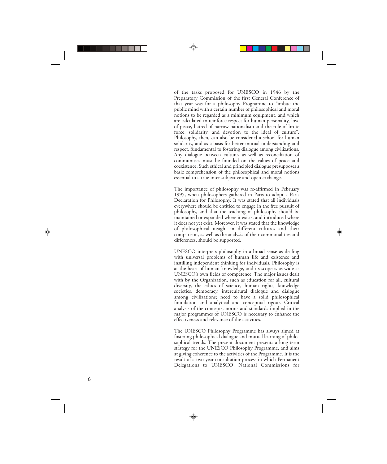of the tasks proposed for UNESCO in 1946 by the Preparatory Commission of the first General Conference of that year was for a philosophy Programme to "imbue the public mind with a certain number of philosophical and moral notions to be regarded as a minimum equipment, and which are calculated to reinforce respect for human personality, love of peace, hatred of narrow nationalism and the rule of brute force, solidarity, and devotion to the ideal of culture". Philosophy, then, can also be considered a school for human solidarity, and as a basis for better mutual understanding and respect, fundamental to fostering dialogue among civilizations. Any dialogue between cultures as well as reconciliation of communities must be founded on the values of peace and coexistence. Such ethical and principled dialogue presupposes a basic comprehension of the philosophical and moral notions essential to a true inter-subjective and open exchange.

The importance of philosophy was re-affirmed in February 1995, when philosophers gathered in Paris to adopt a Paris Declaration for Philosophy. It was stated that all individuals everywhere should be entitled to engage in the free pursuit of philosophy, and that the teaching of philosophy should be maintained or expanded where it exists, and introduced wher e it does not yet exist. Moreover, it was stated that the knowledge of philosophical insight in different cultures and their comparison, as well as the analysis of their commonalities and differences, should be supported.

UNESCO interprets philosophy in a broad sense as dealing with universal problems of human life and existence and instilling independent thinking for individuals. Philosophy is at the heart of human knowledge, and its scope is as wide as UNESCO's own fields of competence. The major issues dealt with by the Organization, such as education for all, cultural diversity, the ethics of science, human rights, knowledge societies, democracy, intercultural dialogue and dialogue among civilizations; need to have a solid philosophical foundation and analytical and conceptual rigour. Critical analysis of the concepts, norms and standards implied in the major programmes of UNESCO is necessary to enhance the effectiveness and relevance of the activities.

The UNESCO Philosophy Programme has always aimed at fostering philosophical dialogue and mutual learning of philo sophical trends. The present document presents a long-term strategy for the UNESCO Philosophy P rogramme, and aims at giving coherence to the activities of the Programme. It is the result of a two-year consultation process in which Permanent Delegations to UNESCO, National Commissions for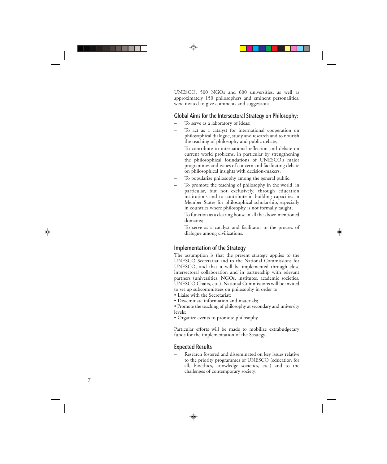UNESCO, 500 NGOs and 600 universities, as well as approximately 150 philosophers and eminent personalities, were invited to give comments and suggestions.

## Global Aims for the Intersectoral Strategy on Philosophy:

- To serve as a laboratory of ideas;
- To act as a catalyst for international cooperation on philosophical dialogue, study and research and to nourish the teaching of philosophy and public debate;
- To contribute to international reflection and debate on current world problems, in particular by strengthening the philosophical foundations of UNESCO's major programmes and issues of concern and facilitating debate on philosophical insights with decision-makers;
- To popularize philosophy among the general public;
- To promote the teaching of philosophy in the world, in particular, but not exclusively, through education institutions and to contribute in building capacities in Member States for philosophical scholarship, especially in countries where philosophy is not formally taught;
- To function as a clearing house in all the above-mentioned domains;
- To ser ve as a catalyst and facilitator to the process of dialogue among civilizations.

## Implementation of the Strategy

The assumption is that the present strategy applies to the UNESCO Secretariat and to the National Commissions for UNESCO, and that it will be implemented through close intersectoral collaboration and in partnership with relevant partners (universities, NGOs, institutes, academic societies, UNESCO Chairs, etc.). National Commissions will be invited to set up subcommittees on philosophy in order to:

- Liaise with the Secretariat;
- Disseminate information and materials;

• P romote the teaching of philosophy at secondary and university levels;

• Organize events to promote philosophy.

Particular efforts will be made to mobilize extrabudgetary funds for the implementation of the Strategy.

## Expected Results

– Research fostered and disseminated on key issues relative to the priority programmes of UNESCO (education for all, bioethics, knowledge societies, etc.) and to the challenges of contemporary society;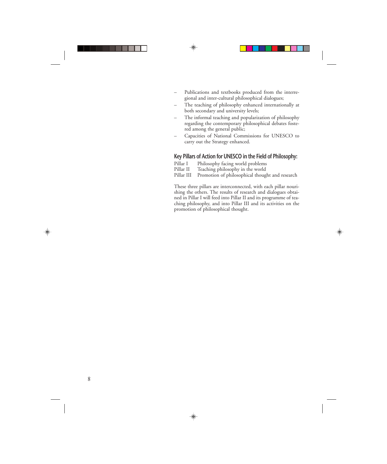- Publications and textbooks produced from the interregional and inter-cultural philosophical dialogues;
- The teaching of philosophy enhanced internationally at both secondary and university levels;
- The informal teaching and popularization of philosophy regarding the contemporary philosophical debates fostered among the general public;
- Capacities of National Commissions for UNESCO to carry out the Strategy enhanced.

## Key Pillars of Action for UNESCO in the Field of Philosophy:

- Pillar I Philosophy facing world problems<br>Pillar II Teaching philosophy in the world
- Teaching philosophy in the world
- Pillar III Promotion of philosophical thought and research

These three pillars are interconnected, with each pillar nourishing the others. The results of research and dialogues obtained in Pillar I will feed into Pillar II and its programme of teaching philosophy, and into Pillar III and its activities on the promotion of philosophical thought.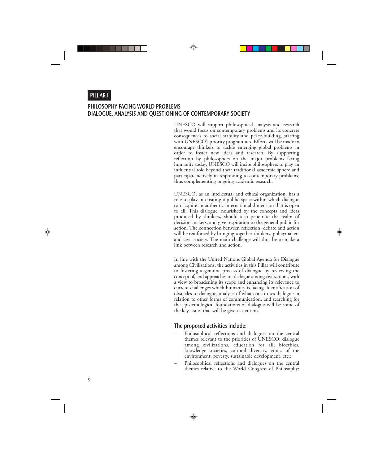## PILLAR I

## PHILOSOPHY FACING WORLD PROBLEMS DIALOGUE, ANALYSIS AND QUESTIONING OF CONTEMPORARY SOCIETY

UNESCO will support philosophical analysis and research that would focus on contemporary problems and its concrete consequences to social stability and peace-building, starting with UNESCO's priority programmes. Efforts will be made to encourage thinkers to tackle emerging global problems in order to foster new ideas and research. By supporting reflection by philosophers on the major problems facing humanity today, UNESCO will incite philosophers to play an influential role beyond their traditional academic sphere and participate actively in responding to contemporary problems, thus complementing ongoing academic research.

UNESCO, as an intellectual and ethical organization, has a role to play in creating a public space within which dialogue can acquire an authentic international dimension that is open to all. This dialogue, nourished by the concepts and ideas produced by thinkers, should also penetrate the realm of decision-makers, and give inspiration to the general public for action. The connection between reflection, debate and action will be reinforced by bringing together thinkers, policymakers and civil society. The main challenge will thus be to make a link between research and action.

In line with the United Nations Global Agenda for Dialogue among Civilizations, the activities in this Pillar will contribute to fostering a genuine process of dialogue by reviewing the concept of, and approaches to, dialogue among civilizations, with a view to broadening its scope and enhancing its relevance to current challenges which humanity is facing. Identification of obstacles to dialogue, analysis of what constitutes dialogue in relation to other forms of communication, and searching for the epistemological foundations of dialogue will be some of the key issues that will be given attention.

## The proposed activities include:

- Philosophical reflections and dialogues on the central themes relevant to the priorities of UNESCO: dialogue among civilizations, education for all, bioethics, knowledge societies, cultural diversity, ethics of the environment, poverty, sustainable development, etc.;
- Philosophical reflections and dialogues on the central themes relative to the World Congress of Philosophy: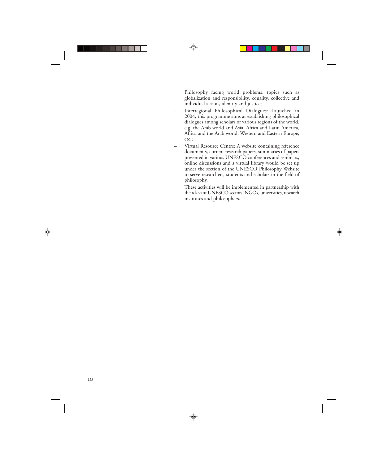Philosophy facing world problems, topics such as globalization and responsibility, equality, collective and individual action, identity and justice;

- Interregional Philosophical Dialogues: Launched in 2004, this programme aims at establishing philosophical dialogues among scholars of various regions of the world, e.g. the Arab world and Asia, Africa and Latin America, Africa and the Arab world, Western and Eastern Europe, etc.;
- Virtual Resource Centre: A website containing reference documents, current research papers, summaries of papers presented in various UNESCO conferences and seminars, online discussions and a virtual library would be set up under the section of the UNESCO Philosophy Website to serve researchers, students and scholars in the field of philosophy.

These activities will be implemented in partnership with the relevant UNESCO sectors, NGOs, universities, research institutes and philosophers.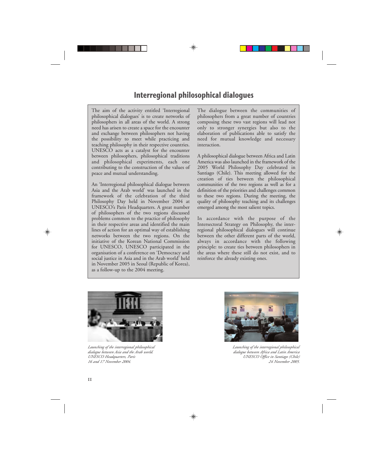## **Interregional philosophical dialogues**

The aim of the activity entitled 'Interregional philosophical dialogues' is to create networks of philosophers in all areas of the world. A strong need has arisen to create a space for the encounter and exchange between philosophers not having the possibility to meet while practicing and teaching philosophy in their respective countries. UNESCO acts as a catalyst for the encounter between philosophers, philosophical traditions and philosophical experiments, each one contributing to the construction of the values of peace and mutual understanding.

An 'Interregional philosophical dialogue between Asia and the Arab world' was launched in the framework of the celebration of the third Philosophy Day held in November 2004 at UNESCO's Paris Headquarters. A great number of philosophers of the two regions discussed problems common to the practice of philosophy in their respective areas and identified the main lines of action for an optimal way of establishing networks between the two regions. On the initiative of the Korean National Commission for UNESCO, UNESCO participated in the organisation of a conference on 'Democracy and social justice in Asia and in the Arab world' held in November 2005 in Seoul (Republic of Korea), as a follow-up to the 2004 meeting.

The dialogue between the communities of philosophers from a great number of countries composing these two vast regions will lead not only to stronger synergies but also to the elaboration of publications able to satisfy the need for mutual knowledge and necessary interaction.

A philosophical dialogue between Africa and Latin America was also launched in the framework of the 2005 World Philosophy Day celebrated in Santiago (Chile). This meeting allowed for the creation of ties between the philosophical communities of the two regions as well as for a definition of the priorities and challenges common to these two regions. During the meeting, the quality of philosophy teaching and its challenges emerged among the most salient topics.

In accordance with the purpose of the Intersectoral Strategy on Philosophy, the interregional philosophical dialogues will continue between the other different parts of the world, always in accordance with the following principle: to create ties between philosophers in the areas where these still do not exist, and to reinforce the already existing ones.



*Launching of the interregional philosophical dialogue between Asia and the Arab world. UNESCO Headquarters, Paris 16 and 17 November 2004.*



*Launching of the interregional philosophical dialogue between Africa and Latin America UNESCO Office in Santiago (Chile) 24 November 2005.*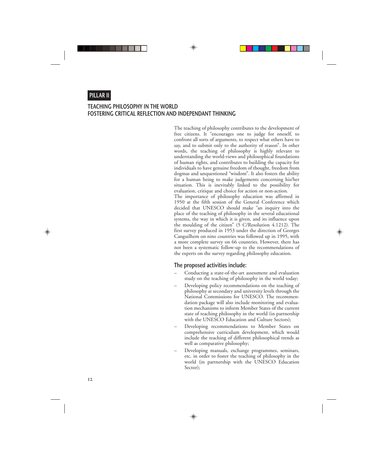## PILLAR II

## TEACHING PHILOSOPHY IN THE WORLD FOSTERING CRITICAL REFLECTION AND INDEPENDANT THINKING

The teaching of philosophy contributes to the development of free citizens. It "encourages one to judge for oneself, to confront all sorts of arguments, to respect what others have to say, and to submit only to the authority of reason". In other words, the teaching of philosophy is highly relevant to understanding the world-views and philosophical foundations of human rights, and contributes to building the capacity for individuals to have genuine freedom of thought, freedom from dogmas and unquestioned "wisdom". It also fosters the ability for a human being to make judgements concerning his/her situation. This is inevitably linked to the possibility for evaluation, critique and choice for action or non-action.

The importance of philosophy education was affirmed in 1950 at the fifth session of the General Conference which decided that UNESCO should make "an inquiry into the place of the teaching of philosophy in the several educational systems, the way in which it is given, and its influence upon the moulding of the citizen" (5 C/Resolution 4.1212). The first survey produced in 1953 under the direction of Georges Canguilhem on nine countries was followed up in 1995, with a more complete survey on 66 countries. However, there has not been a systematic follow-up to the recommendations of the experts on the survey regarding philosophy education.

## The proposed activities include:

- Conducting a state-of-the-art assessment and evaluation study on the teaching of philosophy in the world today;
- Developing policy recommendations on the teaching of philosophy at secondary and university levels through the National Commissions for UNESCO. The recommendation package will also include monitoring and evaluation mechanisms to inform Member States of the current state of teaching philosophy in the world (in partnership with the UNESCO Education and Culture Sectors);
- Developing recommendations to Member States on comprehensive curriculum development, which would include the teaching of different philosophical trends as well as comparative philosophy;
- Developing manuals, exchange programmes, seminars, etc. in order to foster the teaching of philosophy in the world (in partnership with the UNESCO Education Sector);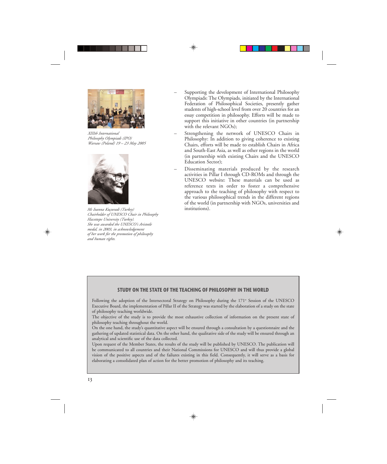

*XIIIth International Philosophy Olympiads (IPO) Warsaw (Poland) 19 – 23 May 2005*



*Ms Ioanna Kuçuradi (Turkey) Chairholder of UNESCO Chair in Philosophy Hacettepe University (Turkey). She was awarded the UNESCO's Aristotle medal, in 2003, in acknowledgement of her work for the promotion of philosophy and human rights.*

- Supporting the development of International Philosophy Olympiads: The Olympiads, initiated by the International Federation of Philosophical Societies, presently gather students of high-school level from over 20 countries for an essay competition in philosophy. Efforts will be made to support this initiative in other countries (in partnership with the relevant NGOs):
- Strengthening the network of UNESCO Chairs in Philosophy: In addition to giving coherence to existing Chairs, efforts will be made to establish Chairs in Africa and South-East Asia, as well as other regions in the world (in partnership with existing Chairs and the UNESCO Education Sector);
- Disseminating materials produced by the research activities in Pillar I through CD-ROMs and through the UNESCO website: These materials can be used as reference texts in order to foster a comprehensive approach to the teaching of philosophy with respect to the various philosophical trends in the different regions of the world (in partnership with NGOs, universities and institutions).

#### **STUDY ON THE STATE OF THE TEACHING OF PHILOSOPHY IN THE WORLD**

Following the adoption of the Intersectoral Strategy on Philosophy during the 171<sup>st</sup> Session of the UNESCO Executive Board, the implementation of Pillar II of the Strategy was started by the elaboration of a study on the state of philosophy teaching worldwide.

The objective of the study is to provide the most exhaustive collection of information on the present state of philosophy teaching throughout the world.

On the one hand, the study's quantitative aspect will be ensured through a consultation by a questionnaire and the gathering of updated statistical data. On the other hand, the qualitative side of the study will be ensured through an analytical and scientific use of the data collected.

Upon request of the Member States, the results of the study will be published by UNESCO. The publication will be communicated to all countries and their National Commissions for UNESCO and will thus provide a global vision of the positive aspects and of the failures existing in this field. Consequently, it will serve as a basis for elaborating a consolidated plan of action for the better promotion of philosophy and its teaching.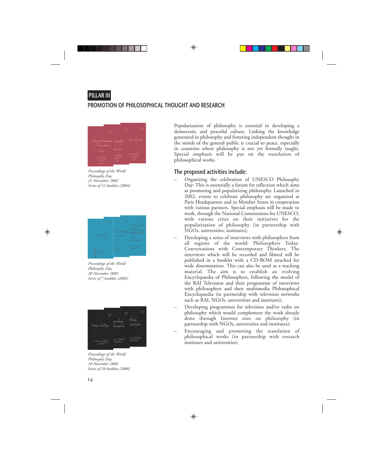## PROMOTION OF PHILOSOPHICAL THOUGHT AND RESEARCH



*Proceedings of the World Philosophy Day, 21 November 2002 Series of 11 booklets (2004)*



*Proceedings of the World Philosophy Day, 20 November 2003 Series of 7 booklets (2005)*



*Proceedings of the World Philosophy Day, 18 November 2004 Series of 10 booklets (2006)*

Popularization of philosophy is essential in developing a democratic and peaceful culture. Linking the knowledge generated in philosophy and fostering independent thought in the minds of the general public is crucial to peace, especially in countries where philosophy is not yet formally taught. Special emphasis will be put on the translation of philosophical works.

## The proposed activities include:

- Organizing the celebration of UNESCO Philosophy Day: This is essentially a forum for reflection which aims at promoting and popularizing philosophy. Launched in 2002, events to celebrate philosophy are organized at Paris Headquarters and in Member States in cooperation with various partners. Special emphasis will be made to work, through the National Commissions for UNESCO, with various cities on their initiatives for the popularization of philosophy (in partnership with NGOs, universities, institutes);
- Developing a series of interviews with philosophers from all regions of the world: Philosophers Today: Conversations with Contemporary Thinkers. The interviews which will be recorded and filmed will be published in a booklet with a CD-ROM attached for wide dissemination. This can also be used as a teaching material. The aim is to establish an evolving Encyclopaedia of Philosophers, following the model of the RAI Television and their programme of interviews with philosophers and their multimedia Philosophical Encyclopaedia (in partnership with television networks such as RAI, NGOs, universities and institutes);
- Developing programmes for television and/or radio on philosophy which would complement the work already done through Internet sites on philosophy (in partnership with NGOs, universities and institutes);
- Encouraging and promoting the translation of philosophical works (in partnership with research institutes and universities).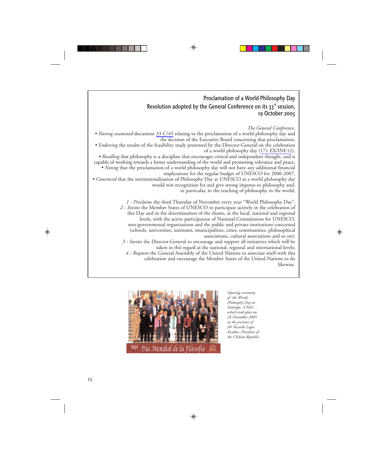## Proclamation of a World Philosophy Day Resolution adopted by the General Conference on its  $33<sup>rd</sup>$  session, 19 October 2005

### *The General Conference,*

*• Having examined* document 33 C/45 relating to the proclamation of a world philosophy day and the decision of the Executive Board concerning that proclamation, *• Endorsing* the results of the feasibility study presented by the Director-General on the celebration of a world philosophy day (171 EX/INF.12), *• Recalling* that philosophy is a discipline that encourages critical and independent thought, and is capable of working towards a better understanding of the world and promoting tolerance and peace, *• Noting* that the proclamation of a world philosophy day will not have any additional financial implications for the regular budget of UNESCO for 2006-2007, *• Convinced* that the institutionalization of Philosophy Day at UNESCO as a world philosophy day would win recognition for and give strong impetus to philosophy and, in particular, to the teaching of philosophy in the world,

> *1 - Proclaims* the third Thursday of November every year "World Philosophy Day"; *2 - Invites* the Member States of UNESCO to participate actively in the celebration of this Day and in the determination of the theme, at the local, national and regional levels, with the active participation of National Commissions for UNESCO, non-governmental organizations and the public and private institutions concerned (schools, universities, institutes, municipalities, cities, communities, philosophical associations, cultural associations and so on);

*3 - Invites* the Director-General to encourage and support all initiatives which will be taken in this regard at the national, regional and international levels; *4 - Requests* the General Assembly of the United Nations to associate itself with this

celebration and encourage the Member States of the United Nations to do likewise.

> *Opening ceremony of the World Philosophy Day in Santiago, (Chile), which took place on 24 November 2005 in the presence of Mr Ricardo Lagos Escobar, President of the Chilean Republic.*